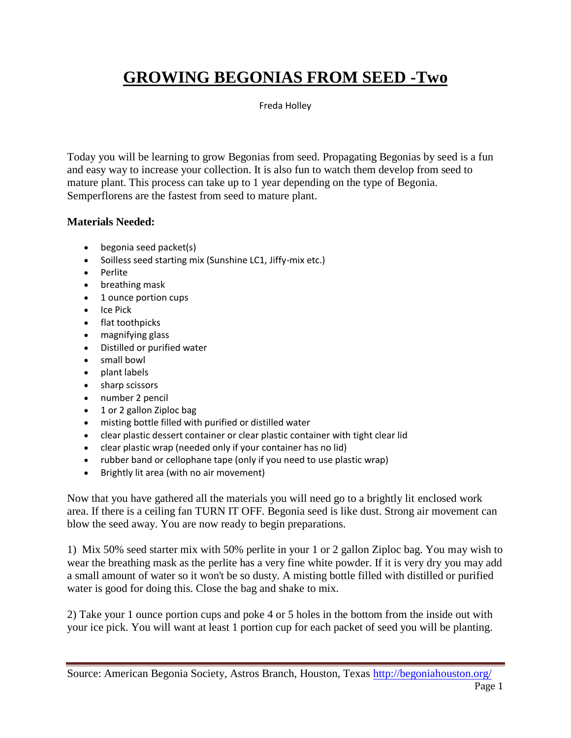# **GROWING BEGONIAS FROM SEED -Two**

Freda Holley

Today you will be learning to grow Begonias from seed. Propagating Begonias by seed is a fun and easy way to increase your collection. It is also fun to watch them develop from seed to mature plant. This process can take up to 1 year depending on the type of Begonia. Semperflorens are the fastest from seed to mature plant.

#### **Materials Needed:**

- begonia seed packet(s)
- Soilless seed starting mix (Sunshine LC1, Jiffy-mix etc.)
- Perlite
- breathing mask
- 1 ounce portion cups
- Ice Pick
- flat toothpicks
- magnifying glass
- Distilled or purified water
- small bowl
- plant labels
- sharp scissors
- number 2 pencil
- 1 or 2 gallon Ziploc bag
- misting bottle filled with purified or distilled water
- clear plastic dessert container or clear plastic container with tight clear lid
- clear plastic wrap (needed only if your container has no lid)
- rubber band or cellophane tape (only if you need to use plastic wrap)
- Brightly lit area (with no air movement)

Now that you have gathered all the materials you will need go to a brightly lit enclosed work area. If there is a ceiling fan TURN IT OFF. Begonia seed is like dust. Strong air movement can blow the seed away. You are now ready to begin preparations.

1) Mix 50% seed starter mix with 50% perlite in your 1 or 2 gallon Ziploc bag. You may wish to wear the breathing mask as the perlite has a very fine white powder. If it is very dry you may add a small amount of water so it won't be so dusty. A misting bottle filled with distilled or purified water is good for doing this. Close the bag and shake to mix.

2) Take your 1 ounce portion cups and poke 4 or 5 holes in the bottom from the inside out with your ice pick. You will want at least 1 portion cup for each packet of seed you will be planting.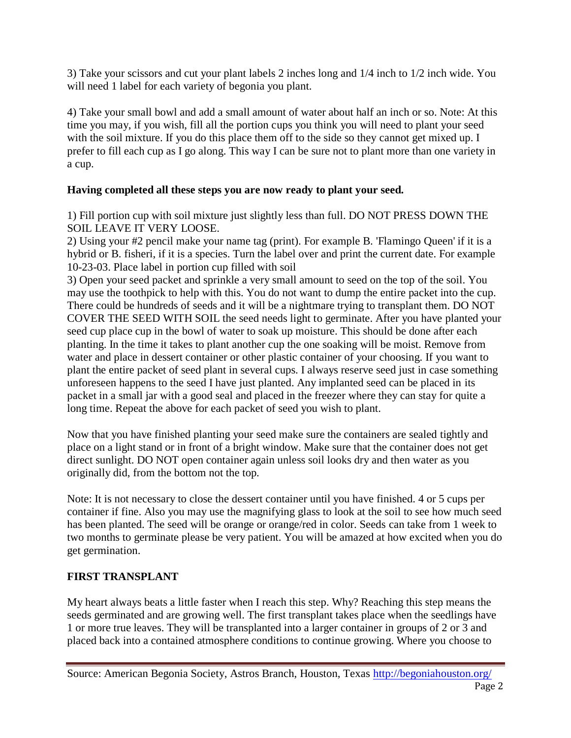3) Take your scissors and cut your plant labels 2 inches long and 1/4 inch to 1/2 inch wide. You will need 1 label for each variety of begonia you plant.

4) Take your small bowl and add a small amount of water about half an inch or so. Note: At this time you may, if you wish, fill all the portion cups you think you will need to plant your seed with the soil mixture. If you do this place them off to the side so they cannot get mixed up. I prefer to fill each cup as I go along. This way I can be sure not to plant more than one variety in a cup.

### **Having completed all these steps you are now ready to plant your seed.**

1) Fill portion cup with soil mixture just slightly less than full. DO NOT PRESS DOWN THE SOIL LEAVE IT VERY LOOSE.

2) Using your #2 pencil make your name tag (print). For example B. 'Flamingo Queen' if it is a hybrid or B. fisheri, if it is a species. Turn the label over and print the current date. For example 10-23-03. Place label in portion cup filled with soil

3) Open your seed packet and sprinkle a very small amount to seed on the top of the soil. You may use the toothpick to help with this. You do not want to dump the entire packet into the cup. There could be hundreds of seeds and it will be a nightmare trying to transplant them. DO NOT COVER THE SEED WITH SOIL the seed needs light to germinate. After you have planted your seed cup place cup in the bowl of water to soak up moisture. This should be done after each planting. In the time it takes to plant another cup the one soaking will be moist. Remove from water and place in dessert container or other plastic container of your choosing. If you want to plant the entire packet of seed plant in several cups. I always reserve seed just in case something unforeseen happens to the seed I have just planted. Any implanted seed can be placed in its packet in a small jar with a good seal and placed in the freezer where they can stay for quite a long time. Repeat the above for each packet of seed you wish to plant.

Now that you have finished planting your seed make sure the containers are sealed tightly and place on a light stand or in front of a bright window. Make sure that the container does not get direct sunlight. DO NOT open container again unless soil looks dry and then water as you originally did, from the bottom not the top.

Note: It is not necessary to close the dessert container until you have finished. 4 or 5 cups per container if fine. Also you may use the magnifying glass to look at the soil to see how much seed has been planted. The seed will be orange or orange/red in color. Seeds can take from 1 week to two months to germinate please be very patient. You will be amazed at how excited when you do get germination.

## **FIRST TRANSPLANT**

My heart always beats a little faster when I reach this step. Why? Reaching this step means the seeds germinated and are growing well. The first transplant takes place when the seedlings have 1 or more true leaves. They will be transplanted into a larger container in groups of 2 or 3 and placed back into a contained atmosphere conditions to continue growing. Where you choose to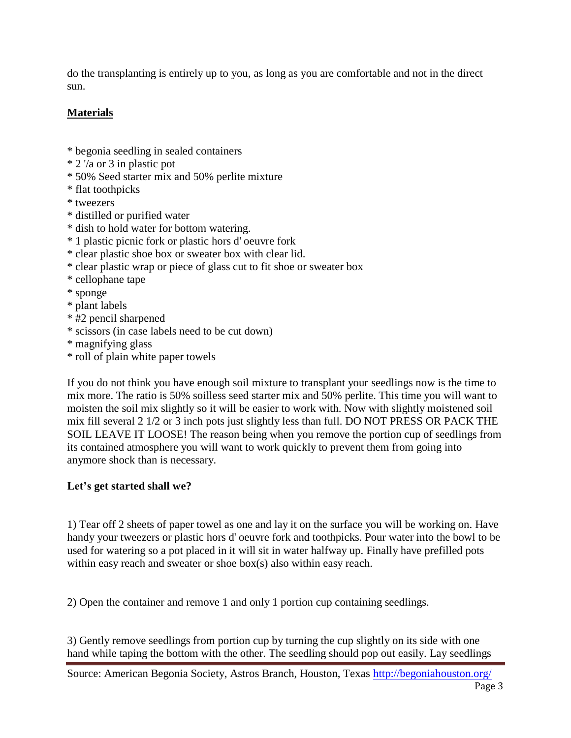do the transplanting is entirely up to you, as long as you are comfortable and not in the direct sun.

## **Materials**

- \* begonia seedling in sealed containers
- \* 2 '/a or 3 in plastic pot
- \* 50% Seed starter mix and 50% perlite mixture
- \* flat toothpicks
- \* tweezers
- \* distilled or purified water
- \* dish to hold water for bottom watering.
- \* 1 plastic picnic fork or plastic hors d' oeuvre fork
- \* clear plastic shoe box or sweater box with clear lid.
- \* clear plastic wrap or piece of glass cut to fit shoe or sweater box
- \* cellophane tape
- \* sponge
- \* plant labels
- \* #2 pencil sharpened
- \* scissors (in case labels need to be cut down)
- \* magnifying glass
- \* roll of plain white paper towels

If you do not think you have enough soil mixture to transplant your seedlings now is the time to mix more. The ratio is 50% soilless seed starter mix and 50% perlite. This time you will want to moisten the soil mix slightly so it will be easier to work with. Now with slightly moistened soil mix fill several 2 1/2 or 3 inch pots just slightly less than full. DO NOT PRESS OR PACK THE SOIL LEAVE IT LOOSE! The reason being when you remove the portion cup of seedlings from its contained atmosphere you will want to work quickly to prevent them from going into anymore shock than is necessary.

#### **Let's get started shall we?**

1) Tear off 2 sheets of paper towel as one and lay it on the surface you will be working on. Have handy your tweezers or plastic hors d' oeuvre fork and toothpicks. Pour water into the bowl to be used for watering so a pot placed in it will sit in water halfway up. Finally have prefilled pots within easy reach and sweater or shoe box(s) also within easy reach.

2) Open the container and remove 1 and only 1 portion cup containing seedlings.

3) Gently remove seedlings from portion cup by turning the cup slightly on its side with one hand while taping the bottom with the other. The seedling should pop out easily. Lay seedlings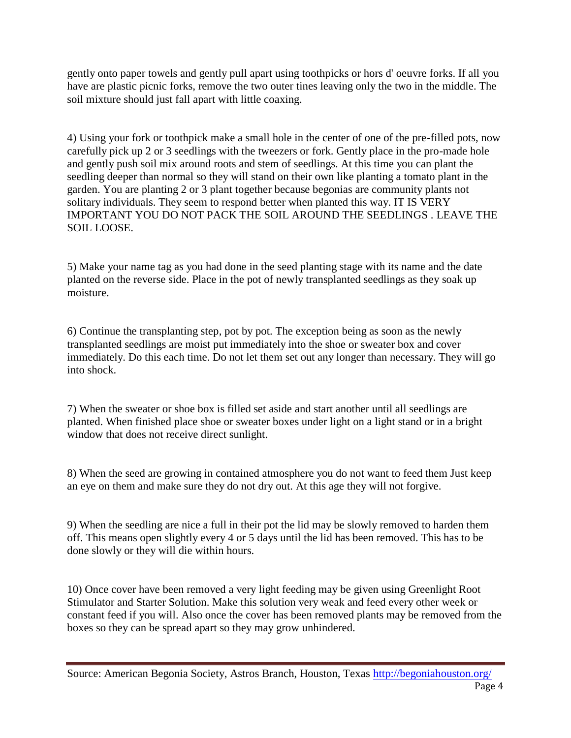gently onto paper towels and gently pull apart using toothpicks or hors d' oeuvre forks. If all you have are plastic picnic forks, remove the two outer tines leaving only the two in the middle. The soil mixture should just fall apart with little coaxing.

4) Using your fork or toothpick make a small hole in the center of one of the pre-filled pots, now carefully pick up 2 or 3 seedlings with the tweezers or fork. Gently place in the pro-made hole and gently push soil mix around roots and stem of seedlings. At this time you can plant the seedling deeper than normal so they will stand on their own like planting a tomato plant in the garden. You are planting 2 or 3 plant together because begonias are community plants not solitary individuals. They seem to respond better when planted this way. IT IS VERY IMPORTANT YOU DO NOT PACK THE SOIL AROUND THE SEEDLINGS . LEAVE THE SOIL LOOSE.

5) Make your name tag as you had done in the seed planting stage with its name and the date planted on the reverse side. Place in the pot of newly transplanted seedlings as they soak up moisture.

6) Continue the transplanting step, pot by pot. The exception being as soon as the newly transplanted seedlings are moist put immediately into the shoe or sweater box and cover immediately. Do this each time. Do not let them set out any longer than necessary. They will go into shock.

7) When the sweater or shoe box is filled set aside and start another until all seedlings are planted. When finished place shoe or sweater boxes under light on a light stand or in a bright window that does not receive direct sunlight.

8) When the seed are growing in contained atmosphere you do not want to feed them Just keep an eye on them and make sure they do not dry out. At this age they will not forgive.

9) When the seedling are nice a full in their pot the lid may be slowly removed to harden them off. This means open slightly every 4 or 5 days until the lid has been removed. This has to be done slowly or they will die within hours.

10) Once cover have been removed a very light feeding may be given using Greenlight Root Stimulator and Starter Solution. Make this solution very weak and feed every other week or constant feed if you will. Also once the cover has been removed plants may be removed from the boxes so they can be spread apart so they may grow unhindered.